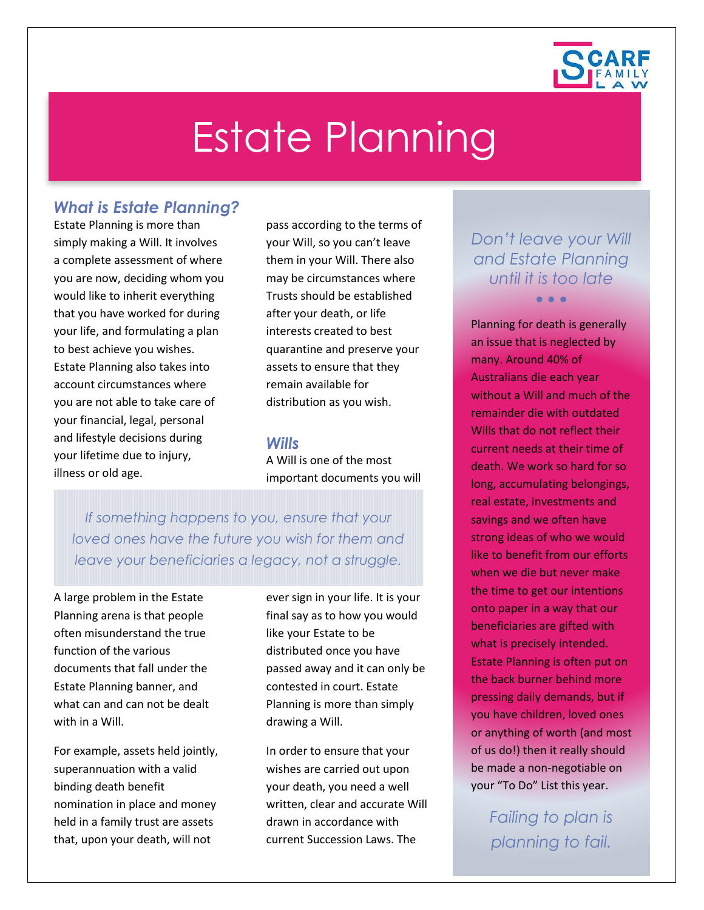

# Estate Planning

# *What is Estate Planning?*

Estate Planning is more than simply making a Will. It involves a complete assessment of where you are now, deciding whom you would like to inherit everything that you have worked for during your life, and formulating a plan to best achieve you wishes. Estate Planning also takes into account circumstances where you are not able to take care of your financial, legal, personal and lifestyle decisions during your lifetime due to injury, illness or old age.

pass according to the terms of your Will, so you can't leave them in your Will. There also may be circumstances where Trusts should be established after your death, or life interests created to best quarantine and preserve your assets to ensure that they remain available for distribution as you wish.

#### *Wills*

A Will is one of the most important documents you will

*If something happens to you, ensure that your loved ones have the future you wish for them and leave your beneficiaries a legacy, not a struggle.*

A large problem in the Estate Planning arena is that people often misunderstand the true function of the various documents that fall under the Estate Planning banner, and what can and can not be dealt with in a Will.

For example, assets held jointly, superannuation with a valid binding death benefit nomination in place and money held in a family trust are assets that, upon your death, will not

ever sign in your life. It is your final say as to how you would like your Estate to be distributed once you have passed away and it can only be contested in court. Estate Planning is more than simply drawing a Will.

In order to ensure that your wishes are carried out upon your death, you need a well written, clear and accurate Will drawn in accordance with current Succession Laws. The

# *Don't leave your Will and Estate Planning until it is too late*

• • •

Planning for death is generally an issue that is neglected by many. Around 40% of Australians die each year without a Will and much of the remainder die with outdated Wills that do not reflect their current needs at their time of death. We work so hard for so long, accumulating belongings, real estate, investments and savings and we often have strong ideas of who we would like to benefit from our efforts when we die but never make the time to get our intentions onto paper in a way that our beneficiaries are gifted with what is precisely intended. Estate Planning is often put on the back burner behind more pressing daily demands, but if you have children, loved ones or anything of worth (and most of us do!) then it really should be made a non-negotiable on your "To Do" List this year.

> *Failing to plan is planning to fail.*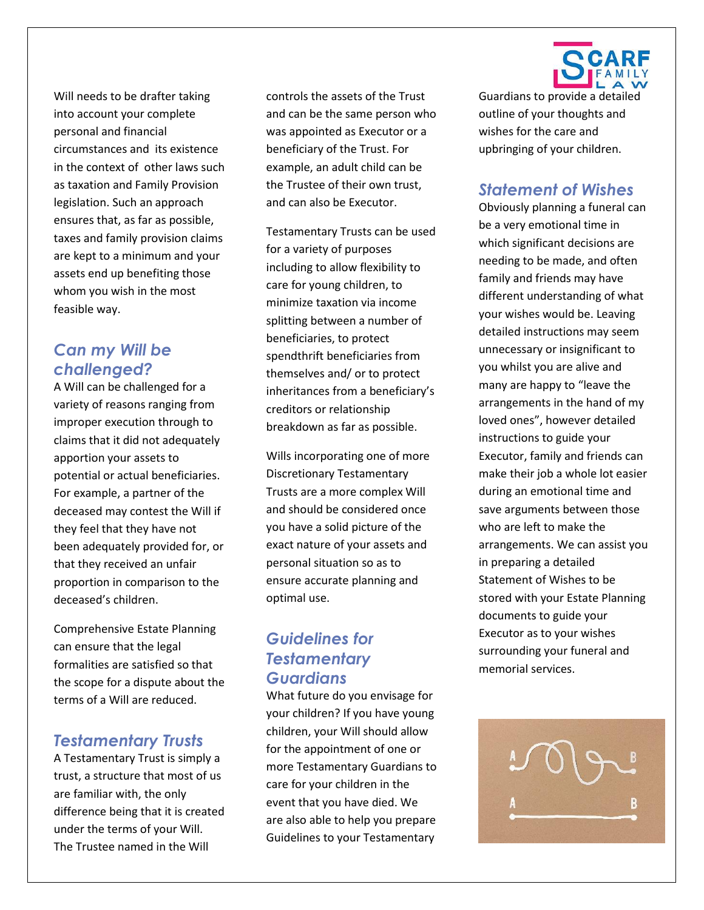Will needs to be drafter taking into account your complete personal and financial circumstances and its existence in the context of other laws such as taxation and Family Provision legislation. Such an approach ensures that, as far as possible, taxes and family provision claims are kept to a minimum and your assets end up benefiting those whom you wish in the most feasible way.

# *Can my Will be challenged?*

A Will can be challenged for a variety of reasons ranging from improper execution through to claims that it did not adequately apportion your assets to potential or actual beneficiaries. For example, a partner of the deceased may contest the Will if they feel that they have not been adequately provided for, or that they received an unfair proportion in comparison to the deceased's children.

Comprehensive Estate Planning can ensure that the legal formalities are satisfied so that the scope for a dispute about the terms of a Will are reduced.

## *Testamentary Trusts*

A Testamentary Trust is simply a trust, a structure that most of us are familiar with, the only difference being that it is created under the terms of your Will. The Trustee named in the Will

controls the assets of the Trust and can be the same person who was appointed as Executor or a beneficiary of the Trust. For example, an adult child can be the Trustee of their own trust, and can also be Executor.

Testamentary Trusts can be used for a variety of purposes including to allow flexibility to care for young children, to minimize taxation via income splitting between a number of beneficiaries, to protect spendthrift beneficiaries from themselves and/ or to protect inheritances from a beneficiary's creditors or relationship breakdown as far as possible.

Wills incorporating one of more Discretionary Testamentary Trusts are a more complex Will and should be considered once you have a solid picture of the exact nature of your assets and personal situation so as to ensure accurate planning and optimal use.

# *Guidelines for Testamentary Guardians*

What future do you envisage for your children? If you have young children, your Will should allow for the appointment of one or more Testamentary Guardians to care for your children in the event that you have died. We are also able to help you prepare Guidelines to your Testamentary



Guardians to provide a detailed outline of your thoughts and wishes for the care and upbringing of your children.

#### *Statement of Wishes*

Obviously planning a funeral can be a very emotional time in which significant decisions are needing to be made, and often family and friends may have different understanding of what your wishes would be. Leaving detailed instructions may seem unnecessary or insignificant to you whilst you are alive and many are happy to "leave the arrangements in the hand of my loved ones", however detailed instructions to guide your Executor, family and friends can make their job a whole lot easier during an emotional time and save arguments between those who are left to make the arrangements. We can assist you in preparing a detailed Statement of Wishes to be stored with your Estate Planning documents to guide your Executor as to your wishes surrounding your funeral and memorial services.

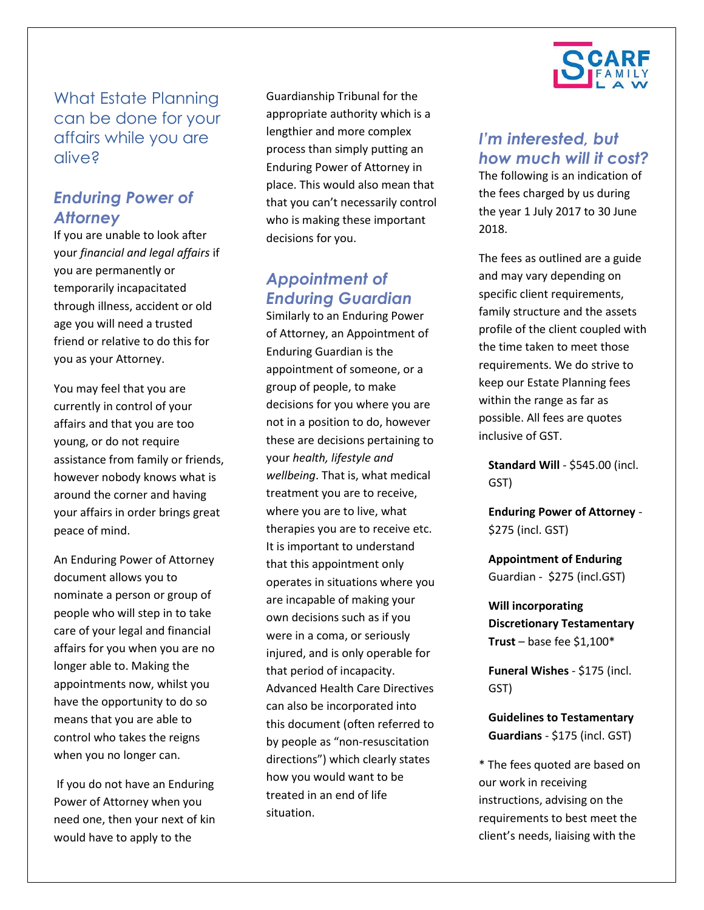What Estate Planning can be done for your affairs while you are alive?

## *Enduring Power of Attorney*

If you are unable to look after your *financial and legal affairs* if you are permanently or temporarily incapacitated through illness, accident or old age you will need a trusted friend or relative to do this for you as your Attorney.

You may feel that you are currently in control of your affairs and that you are too young, or do not require assistance from family or friends, however nobody knows what is around the corner and having your affairs in order brings great peace of mind.

An Enduring Power of Attorney document allows you to nominate a person or group of people who will step in to take care of your legal and financial affairs for you when you are no longer able to. Making the appointments now, whilst you have the opportunity to do so means that you are able to control who takes the reigns when you no longer can.

If you do not have an Enduring Power of Attorney when you need one, then your next of kin would have to apply to the

Guardianship Tribunal for the appropriate authority which is a lengthier and more complex process than simply putting an Enduring Power of Attorney in place. This would also mean that that you can't necessarily control who is making these important decisions for you.

# *Appointment of Enduring Guardian*

Similarly to an Enduring Power of Attorney, an Appointment of Enduring Guardian is the appointment of someone, or a group of people, to make decisions for you where you are not in a position to do, however these are decisions pertaining to your *health, lifestyle and wellbeing*. That is, what medical treatment you are to receive, where you are to live, what therapies you are to receive etc. It is important to understand that this appointment only operates in situations where you are incapable of making your own decisions such as if you were in a coma, or seriously injured, and is only operable for that period of incapacity. Advanced Health Care Directives can also be incorporated into this document (often referred to by people as "non-resuscitation directions") which clearly states how you would want to be treated in an end of life situation.



# *I'm interested, but how much will it cost?*

The following is an indication of the fees charged by us during the year 1 July 2017 to 30 June 2018.

The fees as outlined are a guide and may vary depending on specific client requirements, family structure and the assets profile of the client coupled with the time taken to meet those requirements. We do strive to keep our Estate Planning fees within the range as far as possible. All fees are quotes inclusive of GST.

**Standard Will** - \$545.00 (incl. GST)

**Enduring Power of Attorney** - \$275 (incl. GST)

**Appointment of Enduring** Guardian - \$275 (incl.GST)

**Will incorporating Discretionary Testamentary Trust** – base fee \$1,100\*

**Funeral Wishes** - \$175 (incl. GST)

**Guidelines to Testamentary Guardians** - \$175 (incl. GST)

\* The fees quoted are based on our work in receiving instructions, advising on the requirements to best meet the client's needs, liaising with the